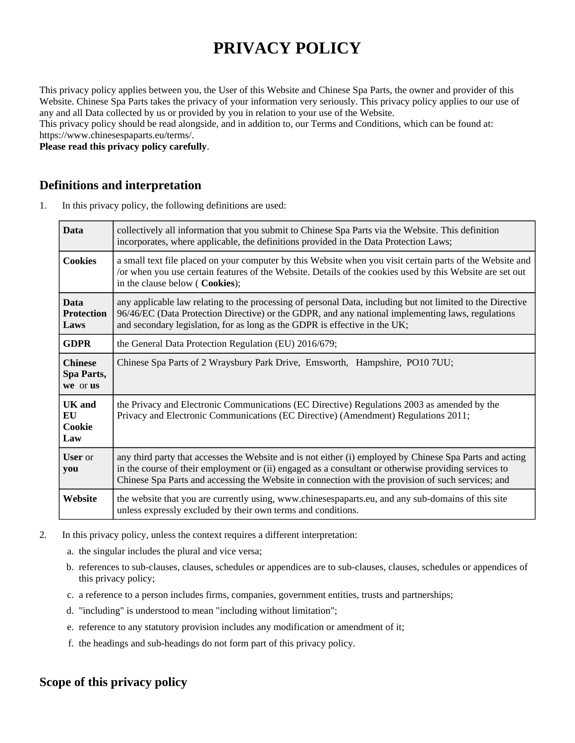# **PRIVACY POLICY**

This privacy policy applies between you, the User of this Website and Chinese Spa Parts, the owner and provider of this Website. Chinese Spa Parts takes the privacy of your information very seriously. This privacy policy applies to our use of any and all Data collected by us or provided by you in relation to your use of the Website.

This privacy policy should be read alongside, and in addition to, our Terms and Conditions, which can be found at: https://www.chinesespaparts.eu/terms/.

**Please read this privacy policy carefully**.

## **Definitions and interpretation**

1. In this privacy policy, the following definitions are used:

| <b>Data</b>                              | collectively all information that you submit to Chinese Spa Parts via the Website. This definition<br>incorporates, where applicable, the definitions provided in the Data Protection Laws;                                                                                                                            |  |
|------------------------------------------|------------------------------------------------------------------------------------------------------------------------------------------------------------------------------------------------------------------------------------------------------------------------------------------------------------------------|--|
| <b>Cookies</b>                           | a small text file placed on your computer by this Website when you visit certain parts of the Website and<br>/or when you use certain features of the Website. Details of the cookies used by this Website are set out<br>in the clause below ( Cookies);                                                              |  |
| <b>Data</b><br><b>Protection</b><br>Laws | any applicable law relating to the processing of personal Data, including but not limited to the Directive<br>96/46/EC (Data Protection Directive) or the GDPR, and any national implementing laws, regulations<br>and secondary legislation, for as long as the GDPR is effective in the UK;                          |  |
| <b>GDPR</b>                              | the General Data Protection Regulation (EU) 2016/679;                                                                                                                                                                                                                                                                  |  |
| <b>Chinese</b><br>Spa Parts,<br>we or us | Chinese Spa Parts of 2 Wraysbury Park Drive, Emsworth, Hampshire, PO10 7UU;                                                                                                                                                                                                                                            |  |
| UK and<br>EU<br>Cookie<br>Law            | the Privacy and Electronic Communications (EC Directive) Regulations 2003 as amended by the<br>Privacy and Electronic Communications (EC Directive) (Amendment) Regulations 2011;                                                                                                                                      |  |
| <b>User</b> or<br>you                    | any third party that accesses the Website and is not either (i) employed by Chinese Spa Parts and acting<br>in the course of their employment or (ii) engaged as a consultant or otherwise providing services to<br>Chinese Spa Parts and accessing the Website in connection with the provision of such services; and |  |
| Website                                  | the website that you are currently using, www.chinesespaparts.eu, and any sub-domains of this site<br>unless expressly excluded by their own terms and conditions.                                                                                                                                                     |  |

- 2. In this privacy policy, unless the context requires a different interpretation:
	- a. the singular includes the plural and vice versa;
	- b. references to sub-clauses, clauses, schedules or appendices are to sub-clauses, clauses, schedules or appendices of this privacy policy;
	- c. a reference to a person includes firms, companies, government entities, trusts and partnerships;
	- d. "including" is understood to mean "including without limitation";
	- e. reference to any statutory provision includes any modification or amendment of it;
	- f. the headings and sub-headings do not form part of this privacy policy.

# **Scope of this privacy policy**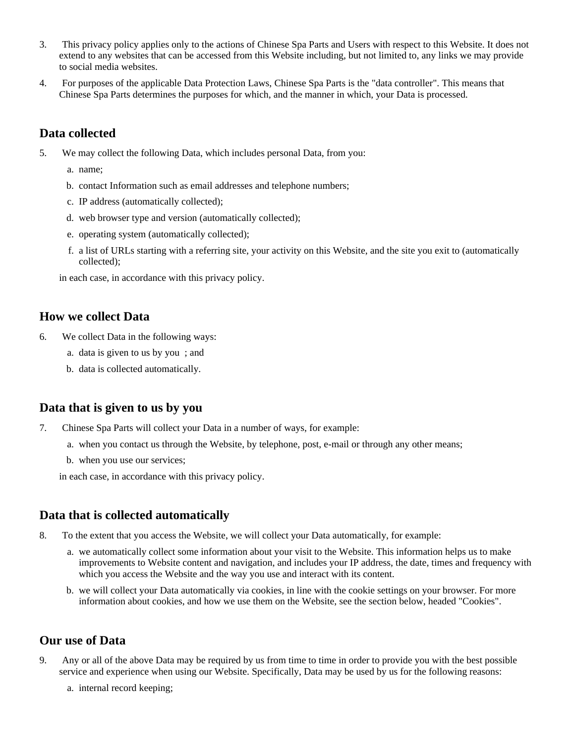- 3. This privacy policy applies only to the actions of Chinese Spa Parts and Users with respect to this Website. It does not extend to any websites that can be accessed from this Website including, but not limited to, any links we may provide to social media websites.
- 4. For purposes of the applicable Data Protection Laws, Chinese Spa Parts is the "data controller". This means that Chinese Spa Parts determines the purposes for which, and the manner in which, your Data is processed.

# **Data collected**

- 5. We may collect the following Data, which includes personal Data, from you:
	- a. name;
	- b. contact Information such as email addresses and telephone numbers;
	- c. IP address (automatically collected);
	- d. web browser type and version (automatically collected);
	- e. operating system (automatically collected);
	- f. a list of URLs starting with a referring site, your activity on this Website, and the site you exit to (automatically collected);

in each case, in accordance with this privacy policy.

#### **How we collect Data**

- 6. We collect Data in the following ways:
	- a. data is given to us by you ; and
	- b. data is collected automatically.

#### **Data that is given to us by you**

- 7. Chinese Spa Parts will collect your Data in a number of ways, for example:
	- a. when you contact us through the Website, by telephone, post, e-mail or through any other means;
	- b. when you use our services;

in each case, in accordance with this privacy policy.

# **Data that is collected automatically**

- 8. To the extent that you access the Website, we will collect your Data automatically, for example:
	- a. we automatically collect some information about your visit to the Website. This information helps us to make improvements to Website content and navigation, and includes your IP address, the date, times and frequency with which you access the Website and the way you use and interact with its content.
	- b. we will collect your Data automatically via cookies, in line with the cookie settings on your browser. For more information about cookies, and how we use them on the Website, see the section below, headed "Cookies".

#### **Our use of Data**

- 9. Any or all of the above Data may be required by us from time to time in order to provide you with the best possible service and experience when using our Website. Specifically, Data may be used by us for the following reasons:
	- a. internal record keeping;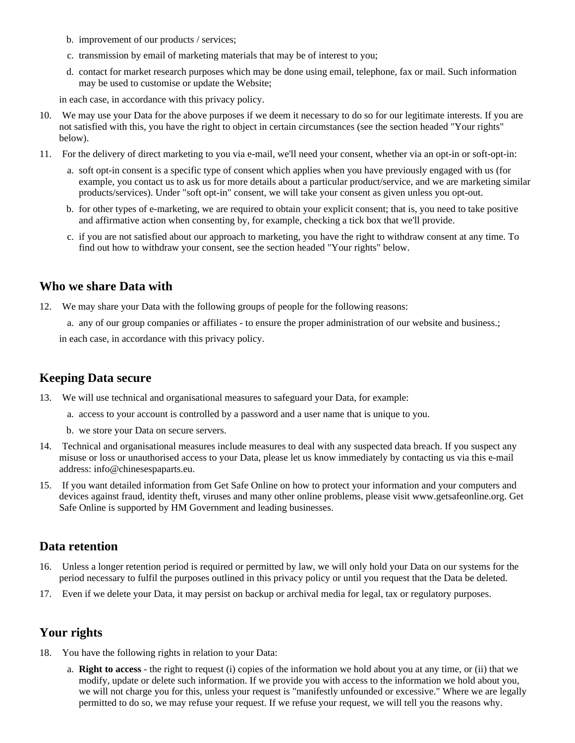- b. improvement of our products / services;
- c. transmission by email of marketing materials that may be of interest to you;
- d. contact for market research purposes which may be done using email, telephone, fax or mail. Such information may be used to customise or update the Website;

in each case, in accordance with this privacy policy.

- 10. We may use your Data for the above purposes if we deem it necessary to do so for our legitimate interests. If you are not satisfied with this, you have the right to object in certain circumstances (see the section headed "Your rights" below).
- 11. For the delivery of direct marketing to you via e-mail, we'll need your consent, whether via an opt-in or soft-opt-in:
	- a. soft opt-in consent is a specific type of consent which applies when you have previously engaged with us (for example, you contact us to ask us for more details about a particular product/service, and we are marketing similar products/services). Under "soft opt-in" consent, we will take your consent as given unless you opt-out.
	- b. for other types of e-marketing, we are required to obtain your explicit consent; that is, you need to take positive and affirmative action when consenting by, for example, checking a tick box that we'll provide.
	- c. if you are not satisfied about our approach to marketing, you have the right to withdraw consent at any time. To find out how to withdraw your consent, see the section headed "Your rights" below.

## **Who we share Data with**

12. We may share your Data with the following groups of people for the following reasons:

a. any of our group companies or affiliates - to ensure the proper administration of our website and business.;

in each case, in accordance with this privacy policy.

#### **Keeping Data secure**

- 13. We will use technical and organisational measures to safeguard your Data, for example:
	- a. access to your account is controlled by a password and a user name that is unique to you.
	- b. we store your Data on secure servers.
- 14. Technical and organisational measures include measures to deal with any suspected data breach. If you suspect any misuse or loss or unauthorised access to your Data, please let us know immediately by contacting us via this e-mail address: info@chinesespaparts.eu.
- 15. If you want detailed information from Get Safe Online on how to protect your information and your computers and devices against fraud, identity theft, viruses and many other online problems, please visit www.getsafeonline.org. Get Safe Online is supported by HM Government and leading businesses.

#### **Data retention**

- 16. Unless a longer retention period is required or permitted by law, we will only hold your Data on our systems for the period necessary to fulfil the purposes outlined in this privacy policy or until you request that the Data be deleted.
- 17. Even if we delete your Data, it may persist on backup or archival media for legal, tax or regulatory purposes.

# **Your rights**

- 18. You have the following rights in relation to your Data:
	- a. **Right to access** the right to request (i) copies of the information we hold about you at any time, or (ii) that we modify, update or delete such information. If we provide you with access to the information we hold about you, we will not charge you for this, unless your request is "manifestly unfounded or excessive." Where we are legally permitted to do so, we may refuse your request. If we refuse your request, we will tell you the reasons why.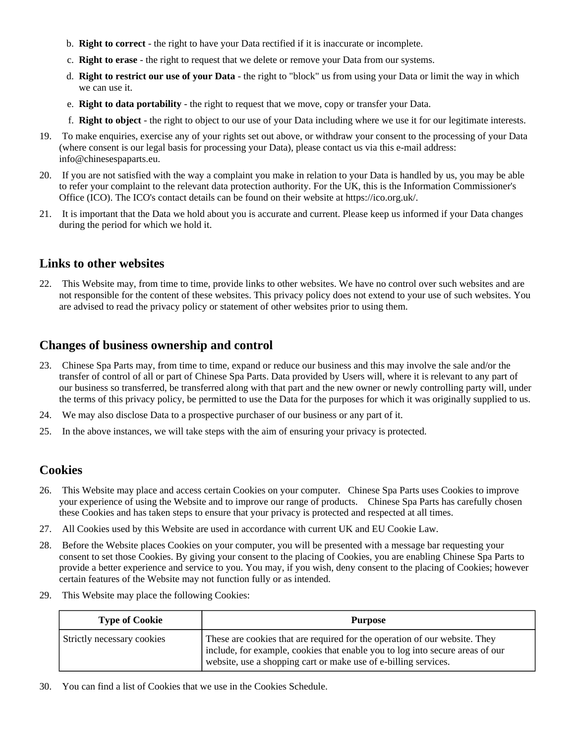- b. **Right to correct** the right to have your Data rectified if it is inaccurate or incomplete.
- c. **Right to erase** the right to request that we delete or remove your Data from our systems.
- d. **Right to restrict our use of your Data** the right to "block" us from using your Data or limit the way in which we can use it.
- e. **Right to data portability** the right to request that we move, copy or transfer your Data.
- f. **Right to object** the right to object to our use of your Data including where we use it for our legitimate interests.
- 19. To make enquiries, exercise any of your rights set out above, or withdraw your consent to the processing of your Data (where consent is our legal basis for processing your Data), please contact us via this e-mail address: info@chinesespaparts.eu.
- 20. If you are not satisfied with the way a complaint you make in relation to your Data is handled by us, you may be able to refer your complaint to the relevant data protection authority. For the UK, this is the Information Commissioner's Office (ICO). The ICO's contact details can be found on their website at https://ico.org.uk/.
- 21. It is important that the Data we hold about you is accurate and current. Please keep us informed if your Data changes during the period for which we hold it.

#### **Links to other websites**

22. This Website may, from time to time, provide links to other websites. We have no control over such websites and are not responsible for the content of these websites. This privacy policy does not extend to your use of such websites. You are advised to read the privacy policy or statement of other websites prior to using them.

#### **Changes of business ownership and control**

- 23. Chinese Spa Parts may, from time to time, expand or reduce our business and this may involve the sale and/or the transfer of control of all or part of Chinese Spa Parts. Data provided by Users will, where it is relevant to any part of our business so transferred, be transferred along with that part and the new owner or newly controlling party will, under the terms of this privacy policy, be permitted to use the Data for the purposes for which it was originally supplied to us.
- 24. We may also disclose Data to a prospective purchaser of our business or any part of it.
- 25. In the above instances, we will take steps with the aim of ensuring your privacy is protected.

#### **Cookies**

- 26. This Website may place and access certain Cookies on your computer. Chinese Spa Parts uses Cookies to improve your experience of using the Website and to improve our range of products. Chinese Spa Parts has carefully chosen these Cookies and has taken steps to ensure that your privacy is protected and respected at all times.
- 27. All Cookies used by this Website are used in accordance with current UK and EU Cookie Law.
- 28. Before the Website places Cookies on your computer, you will be presented with a message bar requesting your consent to set those Cookies. By giving your consent to the placing of Cookies, you are enabling Chinese Spa Parts to provide a better experience and service to you. You may, if you wish, deny consent to the placing of Cookies; however certain features of the Website may not function fully or as intended.
- 29. This Website may place the following Cookies:

| <b>Type of Cookie</b>      | <b>Purpose</b>                                                                                                                                                                                                                 |
|----------------------------|--------------------------------------------------------------------------------------------------------------------------------------------------------------------------------------------------------------------------------|
| Strictly necessary cookies | These are cookies that are required for the operation of our website. They<br>include, for example, cookies that enable you to log into secure areas of our<br>website, use a shopping cart or make use of e-billing services. |

30. You can find a list of Cookies that we use in the Cookies Schedule.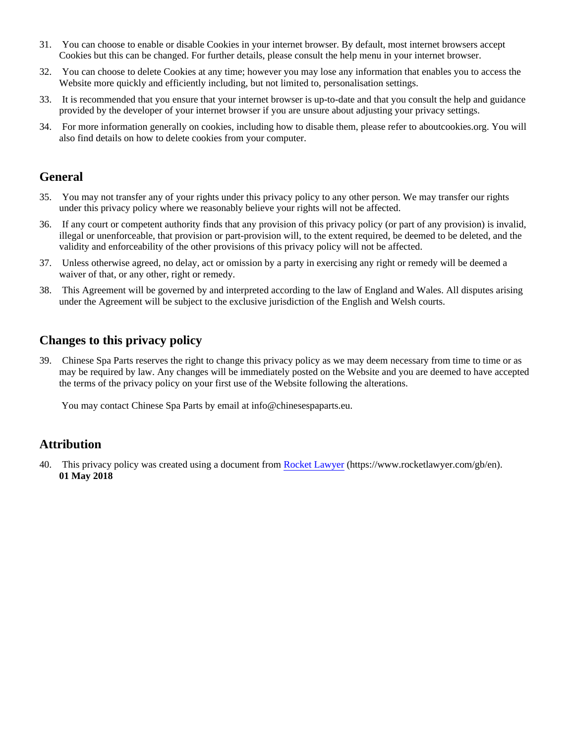- 31. You can choose to enable or disable Cookies in your internet browser. By default, most internet browsers accept Cookies but this can be changed. For further details, please consult the help menu in your internet browser.
- 32. You can choose to delete Cookies at any time; however you may lose any information that enables you to access the Website more quickly and efficiently including, but not limited to, personalisation settings.
- 33. It is recommended that you ensure that your internet browser is up-to-date and that you consult the help and guidance provided by the developer of your internet browser if you are unsure about adjusting your privacy settings.
- 34. For more information generally on cookies, including how to disable them, please refer to aboutcookies.org. You will also find details on how to delete cookies from your computer.

#### **General**

- 35. You may not transfer any of your rights under this privacy policy to any other person. We may transfer our rights under this privacy policy where we reasonably believe your rights will not be affected.
- 36. If any court or competent authority finds that any provision of this privacy policy (or part of any provision) is invalid, illegal or unenforceable, that provision or part-provision will, to the extent required, be deemed to be deleted, and the validity and enforceability of the other provisions of this privacy policy will not be affected.
- 37. Unless otherwise agreed, no delay, act or omission by a party in exercising any right or remedy will be deemed a waiver of that, or any other, right or remedy.
- 38. This Agreement will be governed by and interpreted according to the law of England and Wales. All disputes arising under the Agreement will be subject to the exclusive jurisdiction of the English and Welsh courts.

# **Changes to this privacy policy**

39. Chinese Spa Parts reserves the right to change this privacy policy as we may deem necessary from time to time or as may be required by law. Any changes will be immediately posted on the Website and you are deemed to have accepted the terms of the privacy policy on your first use of the Website following the alterations.

You may contact Chinese Spa Parts by email at info@chinesespaparts.eu.

#### **Attribution**

40. This privacy policy was created using a document from [Rocket Lawyer](https://www.rocketlawyer.com/gb/en/) (https://www.rocketlawyer.com/gb/en). **01 May 2018**